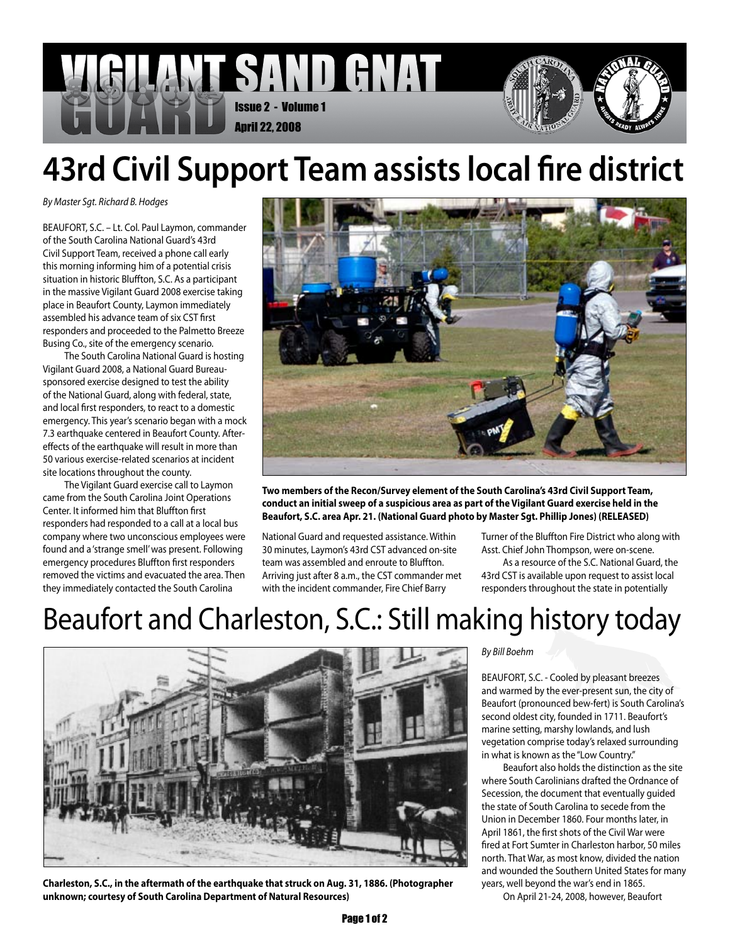

# **43rd Civil Support Team assists local fire district**

*By Master Sgt. Richard B. Hodges*

BEAUFORT, S.C. – Lt. Col. Paul Laymon, commander of the South Carolina National Guard's 43rd Civil Support Team, received a phone call early this morning informing him of a potential crisis situation in historic Bluffton, S.C. As a participant in the massive Vigilant Guard 2008 exercise taking place in Beaufort County, Laymon immediately assembled his advance team of six CST first responders and proceeded to the Palmetto Breeze Busing Co., site of the emergency scenario.

The South Carolina National Guard is hosting Vigilant Guard 2008, a National Guard Bureausponsored exercise designed to test the ability of the National Guard, along with federal, state, and local first responders, to react to a domestic emergency. This year's scenario began with a mock 7.3 earthquake centered in Beaufort County. Aftereffects of the earthquake will result in more than 50 various exercise-related scenarios at incident site locations throughout the county.

The Vigilant Guard exercise call to Laymon came from the South Carolina Joint Operations Center. It informed him that Bluffton first responders had responded to a call at a local bus company where two unconscious employees were found and a 'strange smell' was present. Following emergency procedures Bluffton first responders removed the victims and evacuated the area. Then they immediately contacted the South Carolina



**Two members of the Recon/Survey element of the South Carolina's 43rd Civil Support Team, conduct an initial sweep of a suspicious area as part of the Vigilant Guard exercise held in the Beaufort, S.C. area Apr. 21. (National Guard photo by Master Sgt. Phillip Jones) (RELEASED)** 

National Guard and requested assistance. Within 30 minutes, Laymon's 43rd CST advanced on-site team was assembled and enroute to Bluffton. Arriving just after 8 a.m., the CST commander met with the incident commander, Fire Chief Barry

Turner of the Bluffton Fire District who along with Asst. Chief John Thompson, were on-scene.

As a resource of the S.C. National Guard, the 43rd CST is available upon request to assist local responders throughout the state in potentially

# Beaufort and Charleston, S.C.: Still making history today



**Charleston, S.C., in the aftermath of the earthquake that struck on Aug. 31, 1886. (Photographer unknown; courtesy of South Carolina Department of Natural Resources)**

*By Bill Boehm*

BEAUFORT, S.C. - Cooled by pleasant breezes and warmed by the ever-present sun, the city of Beaufort (pronounced bew-fert) is South Carolina's second oldest city, founded in 1711. Beaufort's marine setting, marshy lowlands, and lush vegetation comprise today's relaxed surrounding in what is known as the "Low Country."

Beaufort also holds the distinction as the site where South Carolinians drafted the Ordnance of Secession, the document that eventually guided the state of South Carolina to secede from the Union in December 1860. Four months later, in April 1861, the first shots of the Civil War were fired at Fort Sumter in Charleston harbor, 50 miles north. That War, as most know, divided the nation and wounded the Southern United States for many years, well beyond the war's end in 1865.

On April 21-24, 2008, however, Beaufort